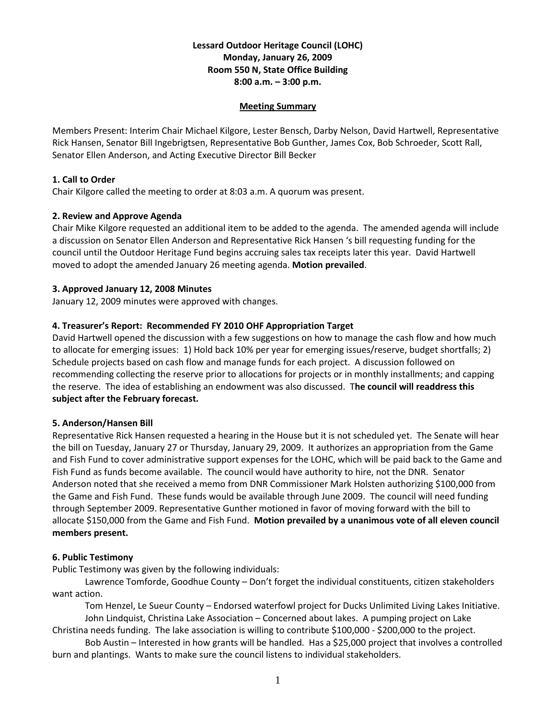# **Lessard Outdoor Heritage Council (LOHC) Monday, January 26, 2009 Room 550 N, State Office Building 8:00 a.m. – 3:00 p.m.**

#### **Meeting Summary**

Members Present: Interim Chair Michael Kilgore, Lester Bensch, Darby Nelson, David Hartwell, Representative Rick Hansen, Senator Bill Ingebrigtsen, Representative Bob Gunther, James Cox, Bob Schroeder, Scott Rall, Senator Ellen Anderson, and Acting Executive Director Bill Becker

## **1. Call to Order**

Chair Kilgore called the meeting to order at 8:03 a.m. A quorum was present.

# **2. Review and Approve Agenda**

Chair Mike Kilgore requested an additional item to be added to the agenda. The amended agenda will include a discussion on Senator Ellen Anderson and Representative Rick Hansen 's bill requesting funding for the council until the Outdoor Heritage Fund begins accruing sales tax receipts later this year. David Hartwell moved to adopt the amended January 26 meeting agenda. **Motion prevailed**.

# **3. Approved January 12, 2008 Minutes**

January 12, 2009 minutes were approved with changes.

# **4. Treasurer's Report: Recommended FY 2010 OHF Appropriation Target**

David Hartwell opened the discussion with a few suggestions on how to manage the cash flow and how much to allocate for emerging issues: 1) Hold back 10% per year for emerging issues/reserve, budget shortfalls; 2) Schedule projects based on cash flow and manage funds for each project. A discussion followed on recommending collecting the reserve prior to allocations for projects or in monthly installments; and capping the reserve. The idea of establishing an endowment was also discussed. T**he council will readdress this subject after the February forecast.**

## **5. Anderson/Hansen Bill**

Representative Rick Hansen requested a hearing in the House but it is not scheduled yet. The Senate will hear the bill on Tuesday, January 27 or Thursday, January 29, 2009. It authorizes an appropriation from the Game and Fish Fund to cover administrative support expenses for the LOHC, which will be paid back to the Game and Fish Fund as funds become available. The council would have authority to hire, not the DNR. Senator Anderson noted that she received a memo from DNR Commissioner Mark Holsten authorizing \$100,000 from the Game and Fish Fund. These funds would be available through June 2009. The council will need funding through September 2009. Representative Gunther motioned in favor of moving forward with the bill to allocate \$150,000 from the Game and Fish Fund. **Motion prevailed by a unanimous vote of all eleven council members present.**

## **6. Public Testimony**

Public Testimony was given by the following individuals:

Lawrence Tomforde, Goodhue County – Don't forget the individual constituents, citizen stakeholders want action.

Tom Henzel, Le Sueur County – Endorsed waterfowl project for Ducks Unlimited Living Lakes Initiative. John Lindquist, Christina Lake Association – Concerned about lakes. A pumping project on Lake

Christina needs funding. The lake association is willing to contribute \$100,000 - \$200,000 to the project. Bob Austin – Interested in how grants will be handled. Has a \$25,000 project that involves a controlled

burn and plantings. Wants to make sure the council listens to individual stakeholders.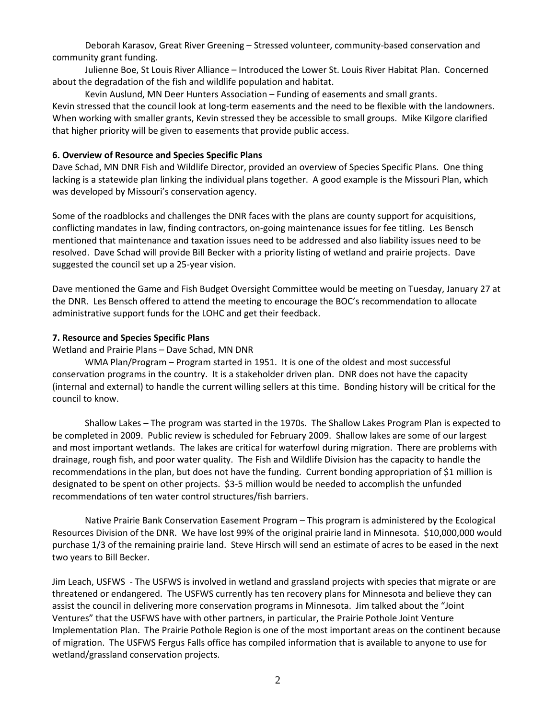Deborah Karasov, Great River Greening – Stressed volunteer, community-based conservation and community grant funding.

Julienne Boe, St Louis River Alliance – Introduced the Lower St. Louis River Habitat Plan. Concerned about the degradation of the fish and wildlife population and habitat.

Kevin Auslund, MN Deer Hunters Association – Funding of easements and small grants. Kevin stressed that the council look at long-term easements and the need to be flexible with the landowners. When working with smaller grants, Kevin stressed they be accessible to small groups. Mike Kilgore clarified that higher priority will be given to easements that provide public access.

## **6. Overview of Resource and Species Specific Plans**

Dave Schad, MN DNR Fish and Wildlife Director, provided an overview of Species Specific Plans. One thing lacking is a statewide plan linking the individual plans together. A good example is the Missouri Plan, which was developed by Missouri's conservation agency.

Some of the roadblocks and challenges the DNR faces with the plans are county support for acquisitions, conflicting mandates in law, finding contractors, on-going maintenance issues for fee titling. Les Bensch mentioned that maintenance and taxation issues need to be addressed and also liability issues need to be resolved. Dave Schad will provide Bill Becker with a priority listing of wetland and prairie projects. Dave suggested the council set up a 25-year vision.

Dave mentioned the Game and Fish Budget Oversight Committee would be meeting on Tuesday, January 27 at the DNR. Les Bensch offered to attend the meeting to encourage the BOC's recommendation to allocate administrative support funds for the LOHC and get their feedback.

## **7. Resource and Species Specific Plans**

Wetland and Prairie Plans – Dave Schad, MN DNR

WMA Plan/Program – Program started in 1951. It is one of the oldest and most successful conservation programs in the country. It is a stakeholder driven plan. DNR does not have the capacity (internal and external) to handle the current willing sellers at this time. Bonding history will be critical for the council to know.

Shallow Lakes – The program was started in the 1970s. The Shallow Lakes Program Plan is expected to be completed in 2009. Public review is scheduled for February 2009. Shallow lakes are some of our largest and most important wetlands. The lakes are critical for waterfowl during migration. There are problems with drainage, rough fish, and poor water quality. The Fish and Wildlife Division has the capacity to handle the recommendations in the plan, but does not have the funding. Current bonding appropriation of \$1 million is designated to be spent on other projects. \$3-5 million would be needed to accomplish the unfunded recommendations of ten water control structures/fish barriers.

Native Prairie Bank Conservation Easement Program – This program is administered by the Ecological Resources Division of the DNR. We have lost 99% of the original prairie land in Minnesota. \$10,000,000 would purchase 1/3 of the remaining prairie land. Steve Hirsch will send an estimate of acres to be eased in the next two years to Bill Becker.

Jim Leach, USFWS - The USFWS is involved in wetland and grassland projects with species that migrate or are threatened or endangered. The USFWS currently has ten recovery plans for Minnesota and believe they can assist the council in delivering more conservation programs in Minnesota. Jim talked about the "Joint Ventures" that the USFWS have with other partners, in particular, the Prairie Pothole Joint Venture Implementation Plan. The Prairie Pothole Region is one of the most important areas on the continent because of migration. The USFWS Fergus Falls office has compiled information that is available to anyone to use for wetland/grassland conservation projects.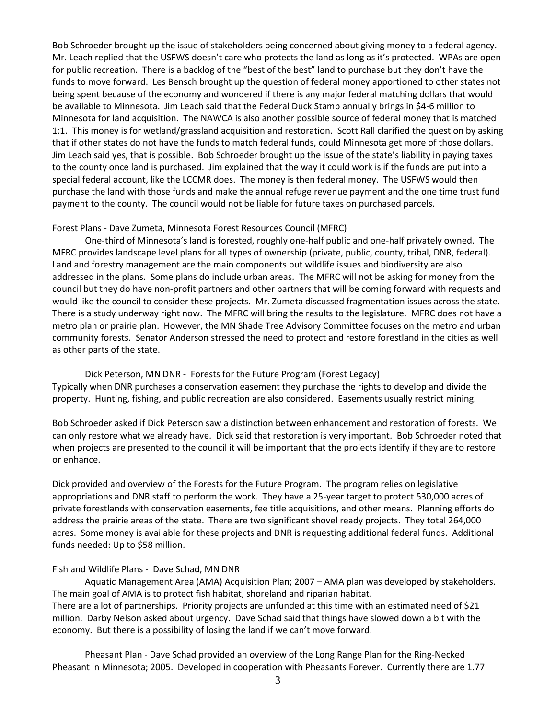Bob Schroeder brought up the issue of stakeholders being concerned about giving money to a federal agency. Mr. Leach replied that the USFWS doesn't care who protects the land as long as it's protected. WPAs are open for public recreation. There is a backlog of the "best of the best" land to purchase but they don't have the funds to move forward. Les Bensch brought up the question of federal money apportioned to other states not being spent because of the economy and wondered if there is any major federal matching dollars that would be available to Minnesota. Jim Leach said that the Federal Duck Stamp annually brings in \$4-6 million to Minnesota for land acquisition. The NAWCA is also another possible source of federal money that is matched 1:1. This money is for wetland/grassland acquisition and restoration. Scott Rall clarified the question by asking that if other states do not have the funds to match federal funds, could Minnesota get more of those dollars. Jim Leach said yes, that is possible. Bob Schroeder brought up the issue of the state's liability in paying taxes to the county once land is purchased. Jim explained that the way it could work is if the funds are put into a special federal account, like the LCCMR does. The money is then federal money. The USFWS would then purchase the land with those funds and make the annual refuge revenue payment and the one time trust fund payment to the county. The council would not be liable for future taxes on purchased parcels.

#### Forest Plans - Dave Zumeta, Minnesota Forest Resources Council (MFRC)

One-third of Minnesota's land is forested, roughly one-half public and one-half privately owned. The MFRC provides landscape level plans for all types of ownership (private, public, county, tribal, DNR, federal). Land and forestry management are the main components but wildlife issues and biodiversity are also addressed in the plans. Some plans do include urban areas. The MFRC will not be asking for money from the council but they do have non-profit partners and other partners that will be coming forward with requests and would like the council to consider these projects. Mr. Zumeta discussed fragmentation issues across the state. There is a study underway right now. The MFRC will bring the results to the legislature. MFRC does not have a metro plan or prairie plan. However, the MN Shade Tree Advisory Committee focuses on the metro and urban community forests. Senator Anderson stressed the need to protect and restore forestland in the cities as well as other parts of the state.

Dick Peterson, MN DNR - Forests for the Future Program (Forest Legacy) Typically when DNR purchases a conservation easement they purchase the rights to develop and divide the property. Hunting, fishing, and public recreation are also considered. Easements usually restrict mining.

Bob Schroeder asked if Dick Peterson saw a distinction between enhancement and restoration of forests. We can only restore what we already have. Dick said that restoration is very important. Bob Schroeder noted that when projects are presented to the council it will be important that the projects identify if they are to restore or enhance.

Dick provided and overview of the Forests for the Future Program. The program relies on legislative appropriations and DNR staff to perform the work. They have a 25-year target to protect 530,000 acres of private forestlands with conservation easements, fee title acquisitions, and other means. Planning efforts do address the prairie areas of the state. There are two significant shovel ready projects. They total 264,000 acres. Some money is available for these projects and DNR is requesting additional federal funds. Additional funds needed: Up to \$58 million.

## Fish and Wildlife Plans - Dave Schad, MN DNR

Aquatic Management Area (AMA) Acquisition Plan; 2007 – AMA plan was developed by stakeholders. The main goal of AMA is to protect fish habitat, shoreland and riparian habitat. There are a lot of partnerships. Priority projects are unfunded at this time with an estimated need of \$21 million. Darby Nelson asked about urgency. Dave Schad said that things have slowed down a bit with the economy. But there is a possibility of losing the land if we can't move forward.

Pheasant Plan - Dave Schad provided an overview of the Long Range Plan for the Ring-Necked Pheasant in Minnesota; 2005. Developed in cooperation with Pheasants Forever. Currently there are 1.77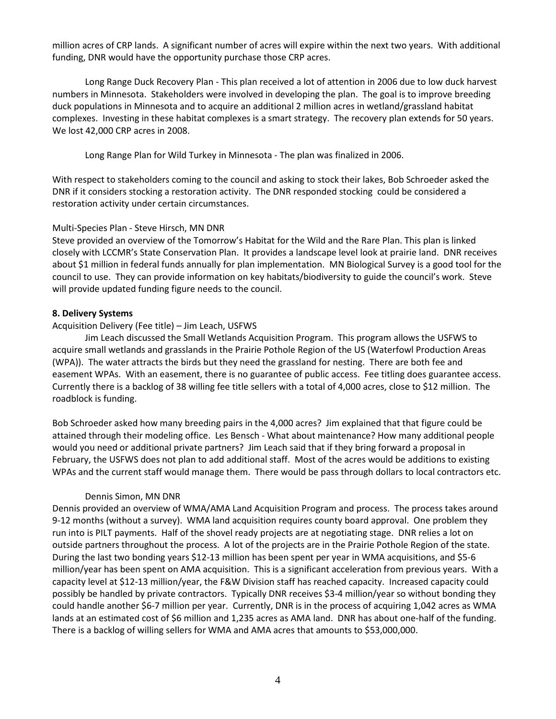million acres of CRP lands. A significant number of acres will expire within the next two years. With additional funding, DNR would have the opportunity purchase those CRP acres.

Long Range Duck Recovery Plan - This plan received a lot of attention in 2006 due to low duck harvest numbers in Minnesota. Stakeholders were involved in developing the plan. The goal is to improve breeding duck populations in Minnesota and to acquire an additional 2 million acres in wetland/grassland habitat complexes. Investing in these habitat complexes is a smart strategy. The recovery plan extends for 50 years. We lost 42,000 CRP acres in 2008.

Long Range Plan for Wild Turkey in Minnesota - The plan was finalized in 2006.

With respect to stakeholders coming to the council and asking to stock their lakes, Bob Schroeder asked the DNR if it considers stocking a restoration activity. The DNR responded stocking could be considered a restoration activity under certain circumstances.

# Multi-Species Plan - Steve Hirsch, MN DNR

Steve provided an overview of the Tomorrow's Habitat for the Wild and the Rare Plan. This plan is linked closely with LCCMR's State Conservation Plan. It provides a landscape level look at prairie land. DNR receives about \$1 million in federal funds annually for plan implementation. MN Biological Survey is a good tool for the council to use. They can provide information on key habitats/biodiversity to guide the council's work. Steve will provide updated funding figure needs to the council.

# **8. Delivery Systems**

## Acquisition Delivery (Fee title) – Jim Leach, USFWS

Jim Leach discussed the Small Wetlands Acquisition Program. This program allows the USFWS to acquire small wetlands and grasslands in the Prairie Pothole Region of the US (Waterfowl Production Areas (WPA)). The water attracts the birds but they need the grassland for nesting. There are both fee and easement WPAs. With an easement, there is no guarantee of public access. Fee titling does guarantee access. Currently there is a backlog of 38 willing fee title sellers with a total of 4,000 acres, close to \$12 million. The roadblock is funding.

Bob Schroeder asked how many breeding pairs in the 4,000 acres? Jim explained that that figure could be attained through their modeling office. Les Bensch - What about maintenance? How many additional people would you need or additional private partners? Jim Leach said that if they bring forward a proposal in February, the USFWS does not plan to add additional staff. Most of the acres would be additions to existing WPAs and the current staff would manage them. There would be pass through dollars to local contractors etc.

## Dennis Simon, MN DNR

Dennis provided an overview of WMA/AMA Land Acquisition Program and process. The process takes around 9-12 months (without a survey). WMA land acquisition requires county board approval. One problem they run into is PILT payments. Half of the shovel ready projects are at negotiating stage. DNR relies a lot on outside partners throughout the process. A lot of the projects are in the Prairie Pothole Region of the state. During the last two bonding years \$12-13 million has been spent per year in WMA acquisitions, and \$5-6 million/year has been spent on AMA acquisition. This is a significant acceleration from previous years. With a capacity level at \$12-13 million/year, the F&W Division staff has reached capacity. Increased capacity could possibly be handled by private contractors. Typically DNR receives \$3-4 million/year so without bonding they could handle another \$6-7 million per year. Currently, DNR is in the process of acquiring 1,042 acres as WMA lands at an estimated cost of \$6 million and 1,235 acres as AMA land. DNR has about one-half of the funding. There is a backlog of willing sellers for WMA and AMA acres that amounts to \$53,000,000.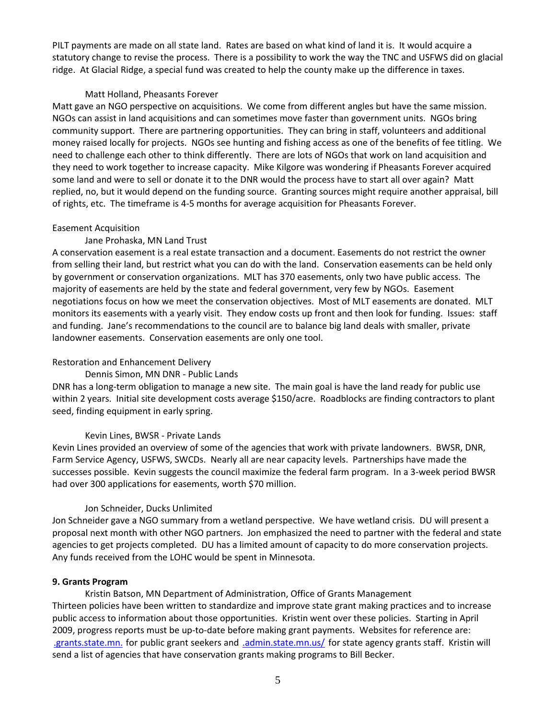PILT payments are made on all state land. Rates are based on what kind of land it is. It would acquire a statutory change to revise the process. There is a possibility to work the way the TNC and USFWS did on glacial ridge. At Glacial Ridge, a special fund was created to help the county make up the difference in taxes.

#### Matt Holland, Pheasants Forever

Matt gave an NGO perspective on acquisitions. We come from different angles but have the same mission. NGOs can assist in land acquisitions and can sometimes move faster than government units. NGOs bring community support. There are partnering opportunities. They can bring in staff, volunteers and additional money raised locally for projects. NGOs see hunting and fishing access as one of the benefits of fee titling. We need to challenge each other to think differently. There are lots of NGOs that work on land acquisition and they need to work together to increase capacity. Mike Kilgore was wondering if Pheasants Forever acquired some land and were to sell or donate it to the DNR would the process have to start all over again? Matt replied, no, but it would depend on the funding source. Granting sources might require another appraisal, bill of rights, etc. The timeframe is 4-5 months for average acquisition for Pheasants Forever.

#### Easement Acquisition

## Jane Prohaska, MN Land Trust

A conservation easement is a real estate transaction and a document. Easements do not restrict the owner from selling their land, but restrict what you can do with the land. Conservation easements can be held only by government or conservation organizations. MLT has 370 easements, only two have public access. The majority of easements are held by the state and federal government, very few by NGOs. Easement negotiations focus on how we meet the conservation objectives. Most of MLT easements are donated. MLT monitors its easements with a yearly visit. They endow costs up front and then look for funding. Issues: staff and funding. Jane's recommendations to the council are to balance big land deals with smaller, private landowner easements. Conservation easements are only one tool.

## Restoration and Enhancement Delivery

#### Dennis Simon, MN DNR - Public Lands

DNR has a long-term obligation to manage a new site. The main goal is have the land ready for public use within 2 years. Initial site development costs average \$150/acre. Roadblocks are finding contractors to plant seed, finding equipment in early spring.

#### Kevin Lines, BWSR - Private Lands

Kevin Lines provided an overview of some of the agencies that work with private landowners. BWSR, DNR, Farm Service Agency, USFWS, SWCDs. Nearly all are near capacity levels. Partnerships have made the successes possible. Kevin suggests the council maximize the federal farm program. In a 3-week period BWSR had over 300 applications for easements, worth \$70 million.

#### Jon Schneider, Ducks Unlimited

Jon Schneider gave a NGO summary from a wetland perspective. We have wetland crisis. DU will present a proposal next month with other NGO partners. Jon emphasized the need to partner with the federal and state agencies to get projects completed. DU has a limited amount of capacity to do more conservation projects. Any funds received from the LOHC would be spent in Minnesota.

#### **9. Grants Program**

Kristin Batson, MN Department of Administration, Office of Grants Management Thirteen policies have been written to standardize and improve state grant making practices and to increase public access to information about those opportunities. Kristin went over these policies. Starting in April 2009, progress reports must be up-to-date before making grant payments. Websites for reference are: [.grants.state.mn.](http://www.grants.state.mn.us/) for public grant seekers an[d .admin.state.mn.us/](http://www.admin.state.mn.us/ogm) for state agency grants staff. Kristin will send a list of agencies that have conservation grants making programs to Bill Becker.